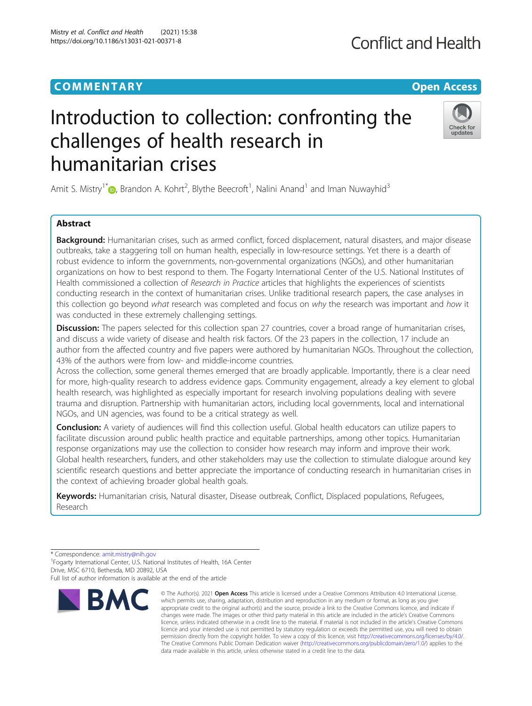Mistry et al. Conflict and Health (2021) 15:38 https://doi.org/10.1186/s13031-021-00371-8

# Introduction to collection: confronting the challenges of health research in humanitarian crises



Amit S. Mistry<sup>1\*</sup> (**b**[,](http://orcid.org/0000-0001-6206-3793) Brandon A. Kohrt<sup>2</sup>, Blythe Beecroft<sup>1</sup>, Nalini Anand<sup>1</sup> and Iman Nuwayhid<sup>3</sup>

# Abstract

Background: Humanitarian crises, such as armed conflict, forced displacement, natural disasters, and major disease outbreaks, take a staggering toll on human health, especially in low-resource settings. Yet there is a dearth of robust evidence to inform the governments, non-governmental organizations (NGOs), and other humanitarian organizations on how to best respond to them. The Fogarty International Center of the U.S. National Institutes of Health commissioned a collection of Research in Practice articles that highlights the experiences of scientists conducting research in the context of humanitarian crises. Unlike traditional research papers, the case analyses in this collection go beyond what research was completed and focus on why the research was important and how it was conducted in these extremely challenging settings.

Discussion: The papers selected for this collection span 27 countries, cover a broad range of humanitarian crises, and discuss a wide variety of disease and health risk factors. Of the 23 papers in the collection, 17 include an author from the affected country and five papers were authored by humanitarian NGOs. Throughout the collection, 43% of the authors were from low- and middle-income countries.

Across the collection, some general themes emerged that are broadly applicable. Importantly, there is a clear need for more, high-quality research to address evidence gaps. Community engagement, already a key element to global health research, was highlighted as especially important for research involving populations dealing with severe trauma and disruption. Partnership with humanitarian actors, including local governments, local and international NGOs, and UN agencies, was found to be a critical strategy as well.

Conclusion: A variety of audiences will find this collection useful. Global health educators can utilize papers to facilitate discussion around public health practice and equitable partnerships, among other topics. Humanitarian response organizations may use the collection to consider how research may inform and improve their work. Global health researchers, funders, and other stakeholders may use the collection to stimulate dialogue around key scientific research questions and better appreciate the importance of conducting research in humanitarian crises in the context of achieving broader global health goals.

Keywords: Humanitarian crisis, Natural disaster, Disease outbreak, Conflict, Displaced populations, Refugees, Research

Full list of author information is available at the end of the article



<sup>©</sup> The Author(s), 2021 **Open Access** This article is licensed under a Creative Commons Attribution 4.0 International License, which permits use, sharing, adaptation, distribution and reproduction in any medium or format, as long as you give appropriate credit to the original author(s) and the source, provide a link to the Creative Commons licence, and indicate if changes were made. The images or other third party material in this article are included in the article's Creative Commons licence, unless indicated otherwise in a credit line to the material. If material is not included in the article's Creative Commons licence and your intended use is not permitted by statutory regulation or exceeds the permitted use, you will need to obtain permission directly from the copyright holder. To view a copy of this licence, visit [http://creativecommons.org/licenses/by/4.0/.](http://creativecommons.org/licenses/by/4.0/) The Creative Commons Public Domain Dedication waiver [\(http://creativecommons.org/publicdomain/zero/1.0/](http://creativecommons.org/publicdomain/zero/1.0/)) applies to the data made available in this article, unless otherwise stated in a credit line to the data.

<sup>\*</sup> Correspondence: [amit.mistry@nih.gov](mailto:amit.mistry@nih.gov) <sup>1</sup>

<sup>&</sup>lt;sup>1</sup> Fogarty International Center, U.S. National Institutes of Health, 16A Center Drive, MSC 6710, Bethesda, MD 20892, USA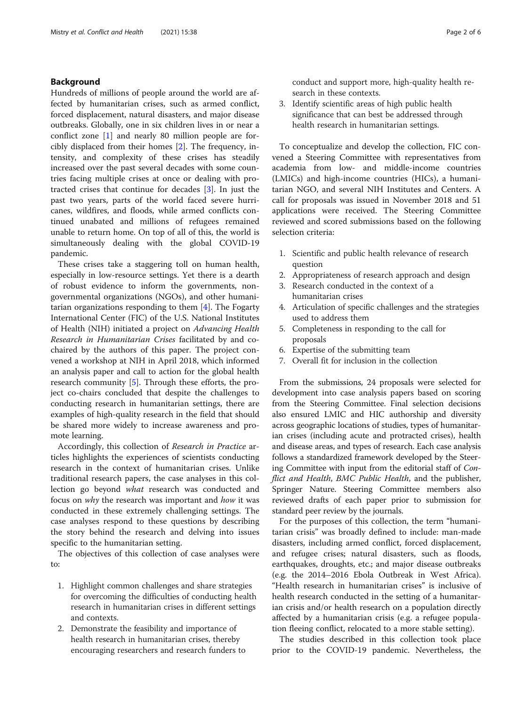# Background

Hundreds of millions of people around the world are affected by humanitarian crises, such as armed conflict, forced displacement, natural disasters, and major disease outbreaks. Globally, one in six children lives in or near a conflict zone [\[1](#page-5-0)] and nearly 80 million people are forcibly displaced from their homes [[2\]](#page-5-0). The frequency, intensity, and complexity of these crises has steadily increased over the past several decades with some countries facing multiple crises at once or dealing with protracted crises that continue for decades [\[3](#page-5-0)]. In just the past two years, parts of the world faced severe hurricanes, wildfires, and floods, while armed conflicts continued unabated and millions of refugees remained unable to return home. On top of all of this, the world is simultaneously dealing with the global COVID-19 pandemic.

These crises take a staggering toll on human health, especially in low-resource settings. Yet there is a dearth of robust evidence to inform the governments, nongovernmental organizations (NGOs), and other humanitarian organizations responding to them [[4\]](#page-5-0). The Fogarty International Center (FIC) of the U.S. National Institutes of Health (NIH) initiated a project on Advancing Health Research in Humanitarian Crises facilitated by and cochaired by the authors of this paper. The project convened a workshop at NIH in April 2018, which informed an analysis paper and call to action for the global health research community [[5](#page-5-0)]. Through these efforts, the project co-chairs concluded that despite the challenges to conducting research in humanitarian settings, there are examples of high-quality research in the field that should be shared more widely to increase awareness and promote learning.

Accordingly, this collection of Research in Practice articles highlights the experiences of scientists conducting research in the context of humanitarian crises. Unlike traditional research papers, the case analyses in this collection go beyond what research was conducted and focus on why the research was important and how it was conducted in these extremely challenging settings. The case analyses respond to these questions by describing the story behind the research and delving into issues specific to the humanitarian setting.

The objectives of this collection of case analyses were to:

- 1. Highlight common challenges and share strategies for overcoming the difficulties of conducting health research in humanitarian crises in different settings and contexts.
- 2. Demonstrate the feasibility and importance of health research in humanitarian crises, thereby encouraging researchers and research funders to

conduct and support more, high-quality health research in these contexts.

3. Identify scientific areas of high public health significance that can best be addressed through health research in humanitarian settings.

To conceptualize and develop the collection, FIC convened a Steering Committee with representatives from academia from low- and middle-income countries (LMICs) and high-income countries (HICs), a humanitarian NGO, and several NIH Institutes and Centers. A call for proposals was issued in November 2018 and 51 applications were received. The Steering Committee reviewed and scored submissions based on the following selection criteria:

- 1. Scientific and public health relevance of research question
- 2. Appropriateness of research approach and design
- 3. Research conducted in the context of a humanitarian crises
- 4. Articulation of specific challenges and the strategies used to address them
- 5. Completeness in responding to the call for proposals
- 6. Expertise of the submitting team
- 7. Overall fit for inclusion in the collection

From the submissions, 24 proposals were selected for development into case analysis papers based on scoring from the Steering Committee. Final selection decisions also ensured LMIC and HIC authorship and diversity across geographic locations of studies, types of humanitarian crises (including acute and protracted crises), health and disease areas, and types of research. Each case analysis follows a standardized framework developed by the Steering Committee with input from the editorial staff of Conflict and Health, BMC Public Health, and the publisher, Springer Nature. Steering Committee members also reviewed drafts of each paper prior to submission for standard peer review by the journals.

For the purposes of this collection, the term "humanitarian crisis" was broadly defined to include: man-made disasters, including armed conflict, forced displacement, and refugee crises; natural disasters, such as floods, earthquakes, droughts, etc.; and major disease outbreaks (e.g. the 2014–2016 Ebola Outbreak in West Africa). "Health research in humanitarian crises" is inclusive of health research conducted in the setting of a humanitarian crisis and/or health research on a population directly affected by a humanitarian crisis (e.g. a refugee population fleeing conflict, relocated to a more stable setting).

The studies described in this collection took place prior to the COVID-19 pandemic. Nevertheless, the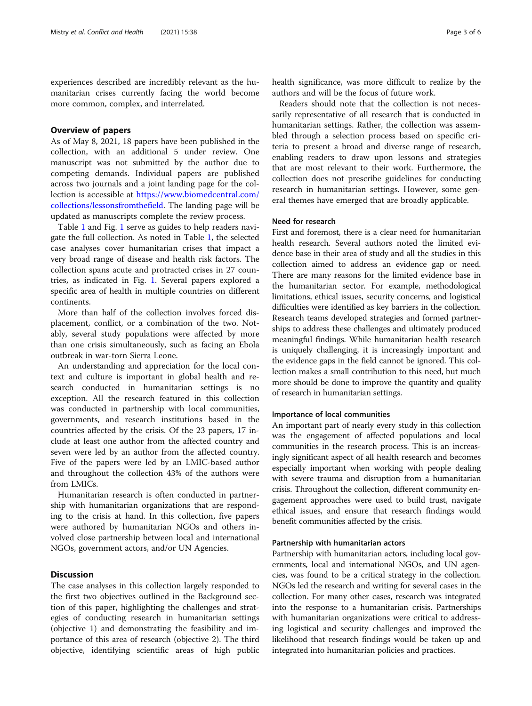experiences described are incredibly relevant as the humanitarian crises currently facing the world become more common, complex, and interrelated.

# Overview of papers

As of May 8, 2021, 18 papers have been published in the collection, with an additional 5 under review. One manuscript was not submitted by the author due to competing demands. Individual papers are published across two journals and a joint landing page for the collection is accessible at [https://www.biomedcentral.com/](https://www.biomedcentral.com/collections/lessonsfromthefield) [collections/lessonsfromthefield.](https://www.biomedcentral.com/collections/lessonsfromthefield) The landing page will be updated as manuscripts complete the review process.

Table [1](#page-3-0) and Fig. [1](#page-4-0) serve as guides to help readers navigate the full collection. As noted in Table [1,](#page-3-0) the selected case analyses cover humanitarian crises that impact a very broad range of disease and health risk factors. The collection spans acute and protracted crises in 27 countries, as indicated in Fig. [1.](#page-4-0) Several papers explored a specific area of health in multiple countries on different continents.

More than half of the collection involves forced displacement, conflict, or a combination of the two. Notably, several study populations were affected by more than one crisis simultaneously, such as facing an Ebola outbreak in war-torn Sierra Leone.

An understanding and appreciation for the local context and culture is important in global health and research conducted in humanitarian settings is no exception. All the research featured in this collection was conducted in partnership with local communities, governments, and research institutions based in the countries affected by the crisis. Of the 23 papers, 17 include at least one author from the affected country and seven were led by an author from the affected country. Five of the papers were led by an LMIC-based author and throughout the collection 43% of the authors were from LMICs.

Humanitarian research is often conducted in partnership with humanitarian organizations that are responding to the crisis at hand. In this collection, five papers were authored by humanitarian NGOs and others involved close partnership between local and international NGOs, government actors, and/or UN Agencies.

# **Discussion**

The case analyses in this collection largely responded to the first two objectives outlined in the Background section of this paper, highlighting the challenges and strategies of conducting research in humanitarian settings (objective 1) and demonstrating the feasibility and importance of this area of research (objective 2). The third objective, identifying scientific areas of high public health significance, was more difficult to realize by the authors and will be the focus of future work.

Readers should note that the collection is not necessarily representative of all research that is conducted in humanitarian settings. Rather, the collection was assembled through a selection process based on specific criteria to present a broad and diverse range of research, enabling readers to draw upon lessons and strategies that are most relevant to their work. Furthermore, the collection does not prescribe guidelines for conducting research in humanitarian settings. However, some general themes have emerged that are broadly applicable.

#### Need for research

First and foremost, there is a clear need for humanitarian health research. Several authors noted the limited evidence base in their area of study and all the studies in this collection aimed to address an evidence gap or need. There are many reasons for the limited evidence base in the humanitarian sector. For example, methodological limitations, ethical issues, security concerns, and logistical difficulties were identified as key barriers in the collection. Research teams developed strategies and formed partnerships to address these challenges and ultimately produced meaningful findings. While humanitarian health research is uniquely challenging, it is increasingly important and the evidence gaps in the field cannot be ignored. This collection makes a small contribution to this need, but much more should be done to improve the quantity and quality of research in humanitarian settings.

#### Importance of local communities

An important part of nearly every study in this collection was the engagement of affected populations and local communities in the research process. This is an increasingly significant aspect of all health research and becomes especially important when working with people dealing with severe trauma and disruption from a humanitarian crisis. Throughout the collection, different community engagement approaches were used to build trust, navigate ethical issues, and ensure that research findings would benefit communities affected by the crisis.

#### Partnership with humanitarian actors

Partnership with humanitarian actors, including local governments, local and international NGOs, and UN agencies, was found to be a critical strategy in the collection. NGOs led the research and writing for several cases in the collection. For many other cases, research was integrated into the response to a humanitarian crisis. Partnerships with humanitarian organizations were critical to addressing logistical and security challenges and improved the likelihood that research findings would be taken up and integrated into humanitarian policies and practices.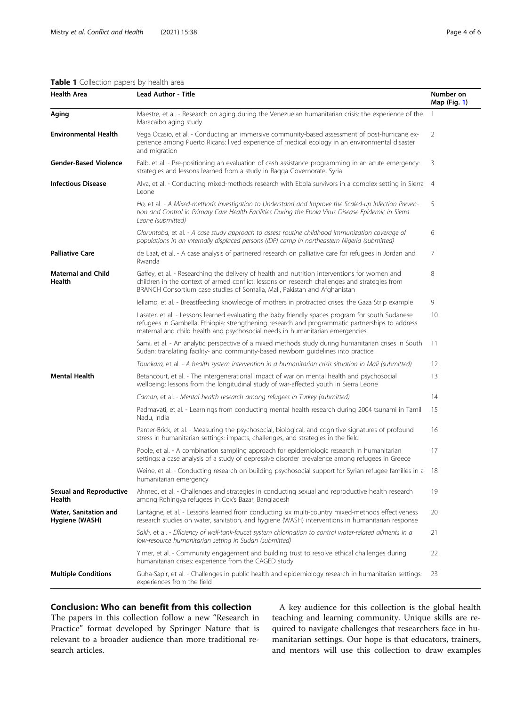# <span id="page-3-0"></span>Table 1 Collection papers by health area

| <b>Health Area</b>                       | Lead Author - Title                                                                                                                                                                                                                                                                 | Number on<br>Map $(Fig. 1)$ |
|------------------------------------------|-------------------------------------------------------------------------------------------------------------------------------------------------------------------------------------------------------------------------------------------------------------------------------------|-----------------------------|
| Aging                                    | Maestre, et al. - Research on aging during the Venezuelan humanitarian crisis: the experience of the<br>Maracaibo aging study                                                                                                                                                       | 1                           |
| <b>Environmental Health</b>              | Vega Ocasio, et al. - Conducting an immersive community-based assessment of post-hurricane ex-<br>perience among Puerto Ricans: lived experience of medical ecology in an environmental disaster<br>and migration                                                                   | 2                           |
| <b>Gender-Based Violence</b>             | Falb, et al. - Pre-positioning an evaluation of cash assistance programming in an acute emergency:<br>strategies and lessons learned from a study in Ragga Governorate, Syria                                                                                                       | 3                           |
| <b>Infectious Disease</b>                | Alva, et al. - Conducting mixed-methods research with Ebola survivors in a complex setting in Sierra 4<br>Leone                                                                                                                                                                     |                             |
|                                          | Ho, et al. - A Mixed-methods Investigation to Understand and Improve the Scaled-up Infection Preven-<br>tion and Control in Primary Care Health Facilities During the Ebola Virus Disease Epidemic in Sierra<br>Leone (submitted)                                                   | 5                           |
|                                          | Oloruntoba, et al. - A case study approach to assess routine childhood immunization coverage of<br>populations in an internally displaced persons (IDP) camp in northeastern Nigeria (submitted)                                                                                    | 6                           |
| <b>Palliative Care</b>                   | de Laat, et al. - A case analysis of partnered research on palliative care for refugees in Jordan and<br>Rwanda                                                                                                                                                                     | 7                           |
| <b>Maternal and Child</b><br>Health      | Gaffey, et al. - Researching the delivery of health and nutrition interventions for women and<br>children in the context of armed conflict: lessons on research challenges and strategies from<br>BRANCH Consortium case studies of Somalia, Mali, Pakistan and Afghanistan         | 8                           |
|                                          | Iellamo, et al. - Breastfeeding knowledge of mothers in protracted crises: the Gaza Strip example                                                                                                                                                                                   | 9                           |
|                                          | Lasater, et al. - Lessons learned evaluating the baby friendly spaces program for south Sudanese<br>refugees in Gambella, Ethiopia: strengthening research and programmatic partnerships to address<br>maternal and child health and psychosocial needs in humanitarian emergencies | 10                          |
|                                          | Sami, et al. - An analytic perspective of a mixed methods study during humanitarian crises in South<br>Sudan: translating facility- and community-based newborn guidelines into practice                                                                                            | 11                          |
|                                          | Tounkara, et al. - A health system intervention in a humanitarian crisis situation in Mali (submitted)                                                                                                                                                                              | 12                          |
| <b>Mental Health</b>                     | Betancourt, et al. - The intergenerational impact of war on mental health and psychosocial<br>wellbeing: lessons from the longitudinal study of war-affected youth in Sierra Leone                                                                                                  | 13                          |
|                                          | Caman, et al. - Mental health research among refugees in Turkey (submitted)                                                                                                                                                                                                         | 14                          |
|                                          | Padmavati, et al. - Learnings from conducting mental health research during 2004 tsunami in Tamil<br>Nadu, India                                                                                                                                                                    | 15                          |
|                                          | Panter-Brick, et al. - Measuring the psychosocial, biological, and cognitive signatures of profound<br>stress in humanitarian settings: impacts, challenges, and strategies in the field                                                                                            | 16                          |
|                                          | Poole, et al. - A combination sampling approach for epidemiologic research in humanitarian<br>settings: a case analysis of a study of depressive disorder prevalence among refugees in Greece                                                                                       | 17                          |
|                                          | Weine, et al. - Conducting research on building psychosocial support for Syrian refugee families in a<br>humanitarian emergency                                                                                                                                                     | 18                          |
| <b>Sexual and Reproductive</b><br>Health | Ahmed, et al. - Challenges and strategies in conducting sexual and reproductive health research<br>among Rohingya refugees in Cox's Bazar, Bangladesh                                                                                                                               | 19                          |
| Water, Sanitation and<br>Hygiene (WASH)  | Lantagne, et al. - Lessons learned from conducting six multi-country mixed-methods effectiveness<br>research studies on water, sanitation, and hygiene (WASH) interventions in humanitarian response                                                                                | 20                          |
|                                          | Salih, et al. - Efficiency of well-tank-faucet system chlorination to control water-related ailments in a<br>low-resource humanitarian setting in Sudan (submitted)                                                                                                                 | 21                          |
|                                          | Yimer, et al. - Community engagement and building trust to resolve ethical challenges during<br>humanitarian crises: experience from the CAGED study                                                                                                                                | 22                          |
| <b>Multiple Conditions</b>               | Guha-Sapir, et al. - Challenges in public health and epidemiology research in humanitarian settings:<br>experiences from the field                                                                                                                                                  | 23                          |

# Conclusion: Who can benefit from this collection

The papers in this collection follow a new "Research in Practice" format developed by Springer Nature that is relevant to a broader audience than more traditional research articles.

A key audience for this collection is the global health teaching and learning community. Unique skills are required to navigate challenges that researchers face in humanitarian settings. Our hope is that educators, trainers, and mentors will use this collection to draw examples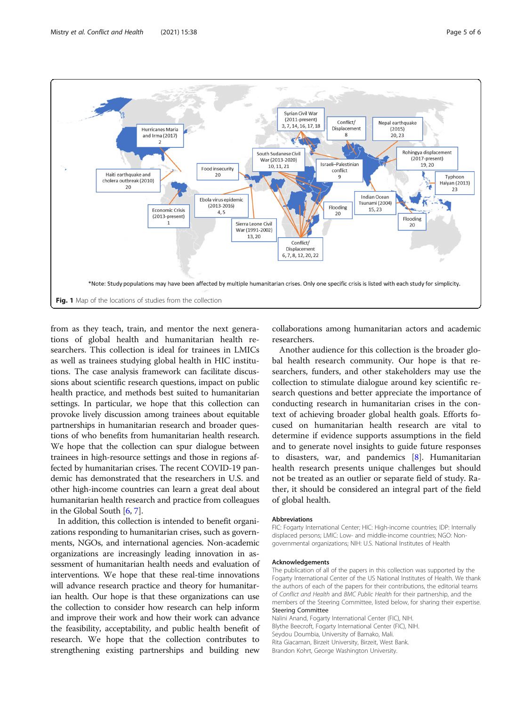<span id="page-4-0"></span>

from as they teach, train, and mentor the next generations of global health and humanitarian health researchers. This collection is ideal for trainees in LMICs as well as trainees studying global health in HIC institutions. The case analysis framework can facilitate discussions about scientific research questions, impact on public health practice, and methods best suited to humanitarian settings. In particular, we hope that this collection can provoke lively discussion among trainees about equitable partnerships in humanitarian research and broader questions of who benefits from humanitarian health research. We hope that the collection can spur dialogue between trainees in high-resource settings and those in regions affected by humanitarian crises. The recent COVID-19 pandemic has demonstrated that the researchers in U.S. and other high-income countries can learn a great deal about humanitarian health research and practice from colleagues in the Global South [[6,](#page-5-0) [7](#page-5-0)].

In addition, this collection is intended to benefit organizations responding to humanitarian crises, such as governments, NGOs, and international agencies. Non-academic organizations are increasingly leading innovation in assessment of humanitarian health needs and evaluation of interventions. We hope that these real-time innovations will advance research practice and theory for humanitarian health. Our hope is that these organizations can use the collection to consider how research can help inform and improve their work and how their work can advance the feasibility, acceptability, and public health benefit of research. We hope that the collection contributes to strengthening existing partnerships and building new

collaborations among humanitarian actors and academic researchers.

Another audience for this collection is the broader global health research community. Our hope is that researchers, funders, and other stakeholders may use the collection to stimulate dialogue around key scientific research questions and better appreciate the importance of conducting research in humanitarian crises in the context of achieving broader global health goals. Efforts focused on humanitarian health research are vital to determine if evidence supports assumptions in the field and to generate novel insights to guide future responses to disasters, war, and pandemics  $[8]$  $[8]$ . Humanitarian health research presents unique challenges but should not be treated as an outlier or separate field of study. Rather, it should be considered an integral part of the field of global health.

#### **Abbreviations**

FIC: Fogarty International Center; HIC: High-income countries; IDP: Internally displaced persons; LMIC: Low- and middle-income countries; NGO: Nongovernmental organizations; NIH: U.S. National Institutes of Health

#### Acknowledgements

The publication of all of the papers in this collection was supported by the Fogarty International Center of the US National Institutes of Health. We thank the authors of each of the papers for their contributions, the editorial teams of Conflict and Health and BMC Public Health for their partnership, and the members of the Steering Committee, listed below, for sharing their expertise. Steering Committee

Nalini Anand, Fogarty International Center (FIC), NIH. Blythe Beecroft, Fogarty International Center (FIC), NIH. Seydou Doumbia, University of Bamako, Mali. Rita Giacaman, Birzeit University, Birzeit, West Bank. Brandon Kohrt, George Washington University.